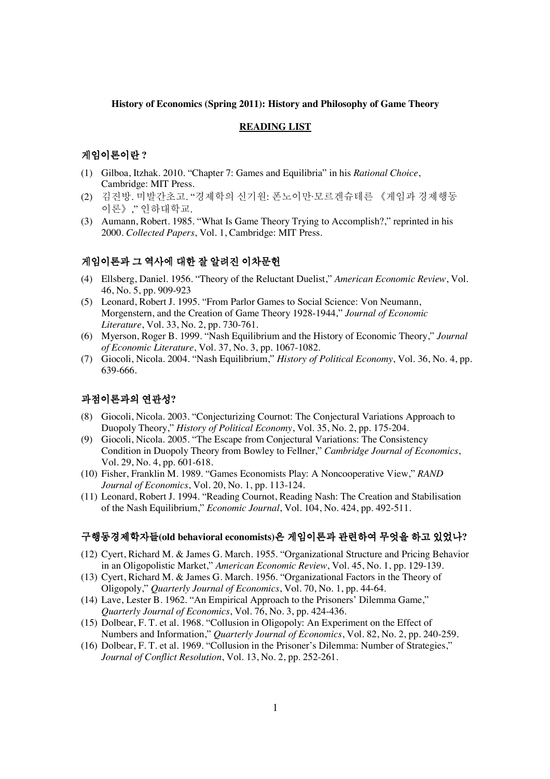#### **History of Economics (Spring 2011): History and Philosophy of Game Theory**

#### **READING LIST**

### 게임이론이란 ?

- (1) Gilboa, Itzhak. 2010. "Chapter 7: Games and Equilibria" in his *Rational Choice*, Cambridge: MIT Press.
- (2) 김진방. 미발간초고. "경제학의 신기원: 폰노이만·모르겐슈테른 《게임과 경제행동 이론》," 인하대학교.
- (3) Aumann, Robert. 1985. "What Is Game Theory Trying to Accomplish?," reprinted in his 2000. *Collected Papers*, Vol. 1, Cambridge: MIT Press.

## 게임이론과 그 역사에 대한 잘 알려진 이차문헌

- (4) Ellsberg, Daniel. 1956. "Theory of the Reluctant Duelist," *American Economic Review*, Vol. 46, No. 5, pp. 909-923
- (5) Leonard, Robert J. 1995. "From Parlor Games to Social Science: Von Neumann, Morgenstern, and the Creation of Game Theory 1928-1944," *Journal of Economic Literature*, Vol. 33, No. 2, pp. 730-761.
- (6) Myerson, Roger B. 1999. "Nash Equilibrium and the History of Economic Theory," *Journal of Economic Literature*, Vol. 37, No. 3, pp. 1067-1082.
- (7) Giocoli, Nicola. 2004. "Nash Equilibrium," *History of Political Economy*, Vol. 36, No. 4, pp. 639-666.

# 과점이론과의 연관성?

- (8) Giocoli, Nicola. 2003. "Conjecturizing Cournot: The Conjectural Variations Approach to Duopoly Theory," *History of Political Economy*, Vol. 35, No. 2, pp. 175-204.
- (9) Giocoli, Nicola. 2005. "The Escape from Conjectural Variations: The Consistency Condition in Duopoly Theory from Bowley to Fellner," *Cambridge Journal of Economics*, Vol. 29, No. 4, pp. 601-618.
- (10) Fisher, Franklin M. 1989. "Games Economists Play: A Noncooperative View," *RAND Journal of Economics*, Vol. 20, No. 1, pp. 113-124.
- (11) Leonard, Robert J. 1994. "Reading Cournot, Reading Nash: The Creation and Stabilisation of the Nash Equilibrium," *Economic Journal*, Vol. 104, No. 424, pp. 492-511.

### ῂ䟟☯ἓ㩲䞯㧦✺**(old behavioral economists)**㦖 Ợ㧚㧊⪶ὒ ὖ⩾䞮㡂 ⶊ㠝㦚 䞮ἶ 㧞㠞⋮**?**

- (12) Cyert, Richard M. & James G. March. 1955. "Organizational Structure and Pricing Behavior in an Oligopolistic Market," *American Economic Review*, Vol. 45, No. 1, pp. 129-139.
- (13) Cyert, Richard M. & James G. March. 1956. "Organizational Factors in the Theory of Oligopoly," *Quarterly Journal of Economics*, Vol. 70, No. 1, pp. 44-64.
- (14) Lave, Lester B. 1962. "An Empirical Approach to the Prisoners' Dilemma Game," *Quarterly Journal of Economics*, Vol. 76, No. 3, pp. 424-436.
- (15) Dolbear, F. T. et al. 1968. "Collusion in Oligopoly: An Experiment on the Effect of Numbers and Information," *Quarterly Journal of Economics*, Vol. 82, No. 2, pp. 240-259.
- (16) Dolbear, F. T. et al. 1969. "Collusion in the Prisoner's Dilemma: Number of Strategies," *Journal of Conflict Resolution*, Vol. 13, No. 2, pp. 252-261.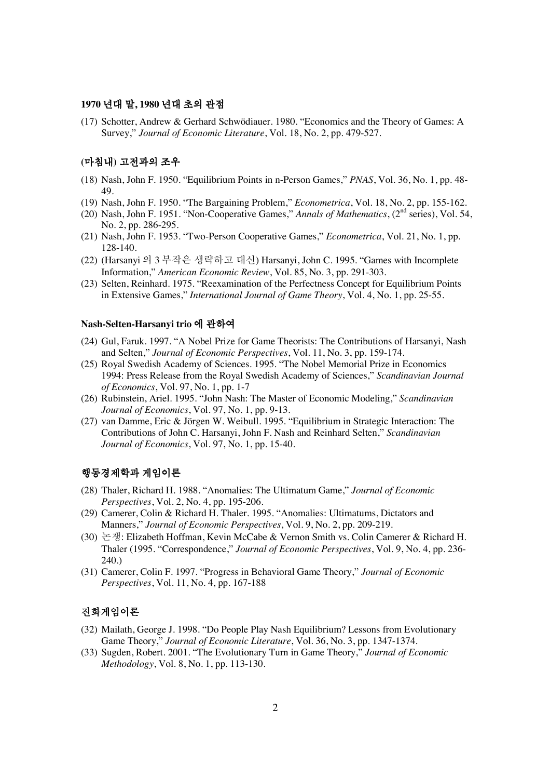#### 1970 년대 말, 1980 년대 초의 관점

(17) Schotter, Andrew & Gerhard Schwödiauer. 1980. "Economics and the Theory of Games: A Survey," *Journal of Economic Literature*, Vol. 18, No. 2, pp. 479-527.

## (마침내) 고전과의 조우

- (18) Nash, John F. 1950. "Equilibrium Points in n-Person Games," *PNAS*, Vol. 36, No. 1, pp. 48- 49.
- (19) Nash, John F. 1950. "The Bargaining Problem," *Econometrica*, Vol. 18, No. 2, pp. 155-162.
- (20) Nash, John F. 1951. "Non-Cooperative Games," *Annals of Mathematics*, (2nd series), Vol. 54, No. 2, pp. 286-295.
- (21) Nash, John F. 1953. "Two-Person Cooperative Games," *Econometrica*, Vol. 21, No. 1, pp. 128-140.
- (22) (Harsanyi 의 3 부작은 생략하고 대신) Harsanyi, John C. 1995. "Games with Incomplete Information," *American Economic Review*, Vol. 85, No. 3, pp. 291-303.
- (23) Selten, Reinhard. 1975. "Reexamination of the Perfectness Concept for Equilibrium Points in Extensive Games," *International Journal of Game Theory*, Vol. 4, No. 1, pp. 25-55.

### **Nash-Selten-Harsanyi trio 에 관하여**

- (24) Gul, Faruk. 1997. "A Nobel Prize for Game Theorists: The Contributions of Harsanyi, Nash and Selten," *Journal of Economic Perspectives*, Vol. 11, No. 3, pp. 159-174.
- (25) Royal Swedish Academy of Sciences. 1995. "The Nobel Memorial Prize in Economics 1994: Press Release from the Royal Swedish Academy of Sciences," *Scandinavian Journal of Economics*, Vol. 97, No. 1, pp. 1-7
- (26) Rubinstein, Ariel. 1995. "John Nash: The Master of Economic Modeling," *Scandinavian Journal of Economics*, Vol. 97, No. 1, pp. 9-13.
- (27) van Damme, Eric & Jörgen W. Weibull. 1995. "Equilibrium in Strategic Interaction: The Contributions of John C. Harsanyi, John F. Nash and Reinhard Selten," *Scandinavian Journal of Economics*, Vol. 97, No. 1, pp. 15-40.

## 행동경제학과 게임이론

- (28) Thaler, Richard H. 1988. "Anomalies: The Ultimatum Game," *Journal of Economic Perspectives*, Vol. 2, No. 4, pp. 195-206.
- (29) Camerer, Colin & Richard H. Thaler. 1995. "Anomalies: Ultimatums, Dictators and Manners," *Journal of Economic Perspectives*, Vol. 9, No. 2, pp. 209-219.
- (30)  $\pm \frac{1}{2}$ : Elizabeth Hoffman, Kevin McCabe & Vernon Smith vs. Colin Camerer & Richard H. Thaler (1995. "Correspondence," *Journal of Economic Perspectives*, Vol. 9, No. 4, pp. 236- 240.)
- (31) Camerer, Colin F. 1997. "Progress in Behavioral Game Theory," *Journal of Economic Perspectives*, Vol. 11, No. 4, pp. 167-188

## 진화게임이론

- (32) Mailath, George J. 1998. "Do People Play Nash Equilibrium? Lessons from Evolutionary Game Theory," *Journal of Economic Literature*, Vol. 36, No. 3, pp. 1347-1374.
- (33) Sugden, Robert. 2001. "The Evolutionary Turn in Game Theory," *Journal of Economic Methodology*, Vol. 8, No. 1, pp. 113-130.